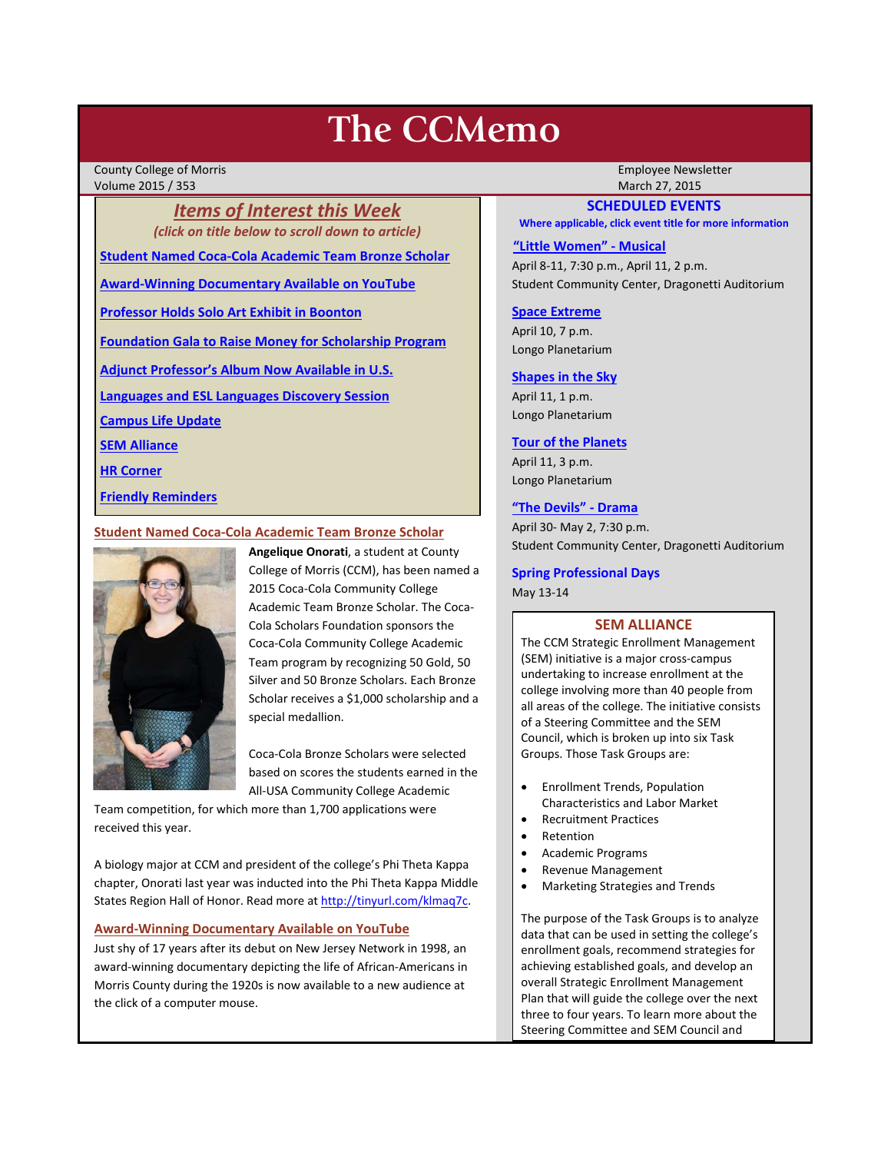# **The CCMemo**

County College of Morris Employee Newsletter Volume 2015 / 353 March 27, 2015

*Items of Interest this Week (click on title below to scroll down to article)* **[Student Named Coca-Cola Academic Team Bronze Scholar](#page-0-0)**

**[Award-Winning Documentary Available on YouTube](#page-0-1)**

**[Professor Holds Solo Art Exhibit in Boonton](#page-1-0)**

**Foundation Gala to [Raise Money for Scholarship Program](#page-2-0)**

**[Adjunct Professor's Album Now Available in U.S.](#page-2-1)**

**[Languages and ESL Languages Discovery Session](#page-3-0)**

**[Campus Life Update](#page-3-1)**

**[SEM Alliance](#page-0-2)**

**[HR Corner](#page-3-2)**

**[Friendly Reminders](#page-1-1)**

# <span id="page-0-0"></span>**Student Named Coca-Cola Academic Team Bronze Scholar**



**Angelique Onorati**, a student at County College of Morris (CCM), has been named a 2015 Coca-Cola Community College Academic Team Bronze Scholar. The Coca-Cola Scholars Foundation sponsors the Coca-Cola Community College Academic Team program by recognizing 50 Gold, 50 Silver and 50 Bronze Scholars. Each Bronze Scholar receives a \$1,000 scholarship and a special medallion.

Coca-Cola Bronze Scholars were selected based on scores the students earned in the All-USA Community College Academic

Team competition, for which more than 1,700 applications were received this year.

A biology major at CCM and president of the college's Phi Theta Kappa chapter, Onorati last year was inducted into the Phi Theta Kappa Middle States Region Hall of Honor. Read more at [http://tinyurl.com/klmaq7c.](http://tinyurl.com/klmaq7c) 

# <span id="page-0-1"></span>**Award-Winning Documentary Available on YouTube**

Just shy of 17 years after its debut on New Jersey Network in 1998, an award-winning documentary depicting the life of African-Americans in Morris County during the 1920s is now available to a new audience at the click of a computer mouse.

# **SCHEDULED EVENTS**

**Where applicable, click event title for more information**

### **["Little Women" -](http://www.ccm.edu/newsEvents/eventDetails.aspx?Channel=/Channels/Sitewide&WorkflowItemID=029a637e-615b-449c-8bcb-398ef284b5d6) Musical**

April 8-11, 7:30 p.m., April 11, 2 p.m. Student Community Center, Dragonetti Auditorium

# **[Space Extreme](http://www.ccm.edu/newsEvents/eventDetails.aspx?Channel=/Channels/Sitewide&WorkflowItemID=1874a4b0-0bcb-4ed1-a29e-7b4f8d25e45d)**

April 10, 7 p.m. Longo Planetarium

# **[Shapes in the Sky](http://www.ccm.edu/newsEvents/eventDetails.aspx?Channel=/Channels/Sitewide&WorkflowItemID=1922c928-86d3-4e75-b6a2-fd618033989c)**

April 11, 1 p.m. Longo Planetarium

# **[Tour of the Planets](http://www.ccm.edu/newsEvents/eventDetails.aspx?Channel=/Channels/Sitewide&WorkflowItemID=5834aa20-68ba-4fa2-a3ac-75b2311ba441)**

April 11, 3 p.m. Longo Planetarium

# **["The Devils" -](http://www.ccm.edu/newsEvents/eventDetails.aspx?Channel=/Channels/Sitewide&WorkflowItemID=8dd88758-b234-42f0-abf7-34958b6a6635) Drama**

April 30- May 2, 7:30 p.m. Student Community Center, Dragonetti Auditorium

# **Spring Professional Days**

May 13-14

# **SEM ALLIANCE**

<span id="page-0-2"></span>The CCM Strategic Enrollment Management (SEM) initiative is a major cross-campus undertaking to increase enrollment at the college involving more than 40 people from all areas of the college. The initiative consists of a Steering Committee and the SEM Council, which is broken up into six Task Groups. Those Task Groups are:

- Enrollment Trends, Population Characteristics and Labor Market
- Recruitment Practices
- Retention
- Academic Programs
- Revenue Management
- Marketing Strategies and Trends

The purpose of the Task Groups is to analyze data that can be used in setting the college's enrollment goals, recommend strategies for achieving established goals, and develop an overall Strategic Enrollment Management Plan that will guide the college over the next three to four years. To learn more about the Steering Committee and SEM Council and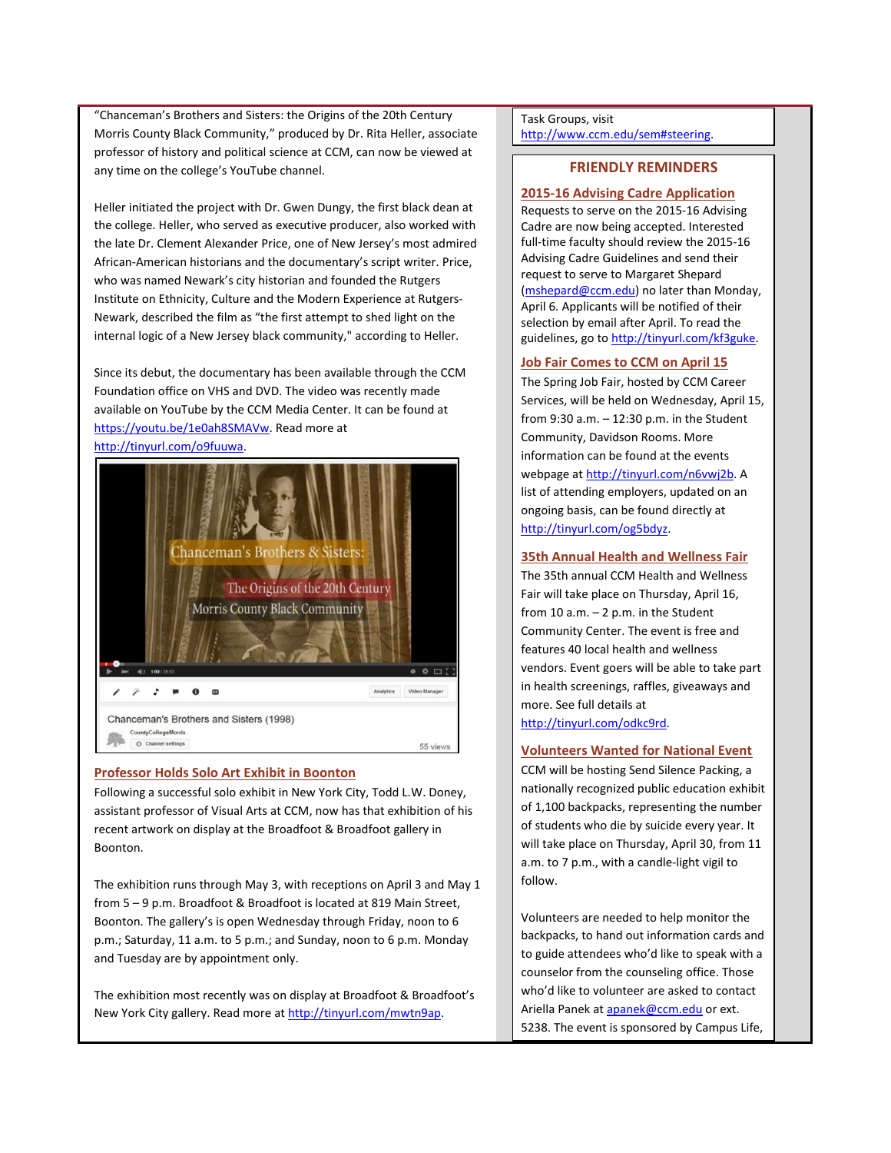"Chanceman's Brothers and Sisters: the Origins of the 20th Century Morris County Black Community," produced by Dr. Rita Heller, associate professor of history and political science at CCM, can now be viewed at any time on the college's YouTube channel.

Heller initiated the project with Dr. Gwen Dungy, the first black dean at the college. Heller, who served as executive producer, also worked with the late Dr. Clement Alexander Price, one of New Jersey's most admired African-American historians and the documentary's script writer. Price, who was named Newark's city historian and founded the Rutgers Institute on Ethnicity, Culture and the Modern Experience at Rutgers-Newark, described the film as "the first attempt to shed light on the internal logic of a New Jersey black community," according to Heller.

Since its debut, the documentary has been available through the CCM Foundation office on VHS and DVD. The video was recently made available on YouTube by the CCM Media Center. It can be found at [https://youtu.be/1e0ah8SMAVw.](https://youtu.be/1e0ah8SMAVw) Read more at [http://tinyurl.com/o9fuuwa.](http://tinyurl.com/o9fuuwa)



# <span id="page-1-0"></span>**Professor Holds Solo Art Exhibit in Boonton**

Following a successful solo exhibit in New York City, Todd L.W. Doney, assistant professor of Visual Arts at CCM, now has that exhibition of his recent artwork on display at the Broadfoot & Broadfoot gallery in Boonton.

The exhibition runs through May 3, with receptions on April 3 and May 1 from 5 – 9 p.m. Broadfoot & Broadfoot is located at 819 Main Street, Boonton. The gallery's is open Wednesday through Friday, noon to 6 p.m.; Saturday, 11 a.m. to 5 p.m.; and Sunday, noon to 6 p.m. Monday and Tuesday are by appointment only.

The exhibition most recently was on display at Broadfoot & Broadfoot's New York City gallery. Read more at [http://tinyurl.com/mwtn9ap.](http://tinyurl.com/mwtn9ap)

#### Task Groups, visit [http://www.ccm.edu/sem#steering.](http://www.ccm.edu/sem%23steering)

# **FRIENDLY REMINDERS**

# <span id="page-1-1"></span>**2015-16 Advising Cadre Application**

Requests to serve on the 2015-16 Advising Cadre are now being accepted. Interested full-time faculty should review the 2015-16 Advising Cadre Guidelines and send their request to serve to Margaret Shepard [\(mshepard@ccm.edu\)](mailto:mshepard@ccm.edu) no later than Monday, April 6. Applicants will be notified of their selection by email after April. To read the guidelines, go t[o http://tinyurl.com/kf3guke.](http://tinyurl.com/kf3guke)

# **Job Fair Comes to CCM on April 15**

The Spring Job Fair, hosted by CCM Career Services, will be held on Wednesday, April 15, from 9:30 a.m. – 12:30 p.m. in the Student Community, Davidson Rooms. More information can be found at the events webpage at [http://tinyurl.com/n6vwj2b.](http://tinyurl.com/n6vwj2b) A list of attending employers, updated on an ongoing basis, can be found directly at [http://tinyurl.com/og5bdyz.](http://tinyurl.com/og5bdyz)

# **35th Annual Health and Wellness Fair**

The 35th annual CCM Health and Wellness Fair will take place on Thursday, April 16, from  $10$  a.m.  $-2$  p.m. in the Student Community Center. The event is free and features 40 local health and wellness vendors. Event goers will be able to take part in health screenings, raffles, giveaways and more. See full details at [http://tinyurl.com/odkc9rd.](http://tinyurl.com/odkc9rd)

# **Volunteers Wanted for National Event**

CCM will be hosting Send Silence Packing, a nationally recognized public education exhibit of 1,100 backpacks, representing the number of students who die by suicide every year. It will take place on Thursday, April 30, from 11 a.m. to 7 p.m., with a candle-light vigil to follow.

Volunteers are needed to help monitor the backpacks, to hand out information cards and to guide attendees who'd like to speak with a counselor from the counseling office. Those who'd like to volunteer are asked to contact Ariella Panek a[t apanek@ccm.edu](mailto:apanek@ccm.edu) or ext. 5238. The event is sponsored by Campus Life,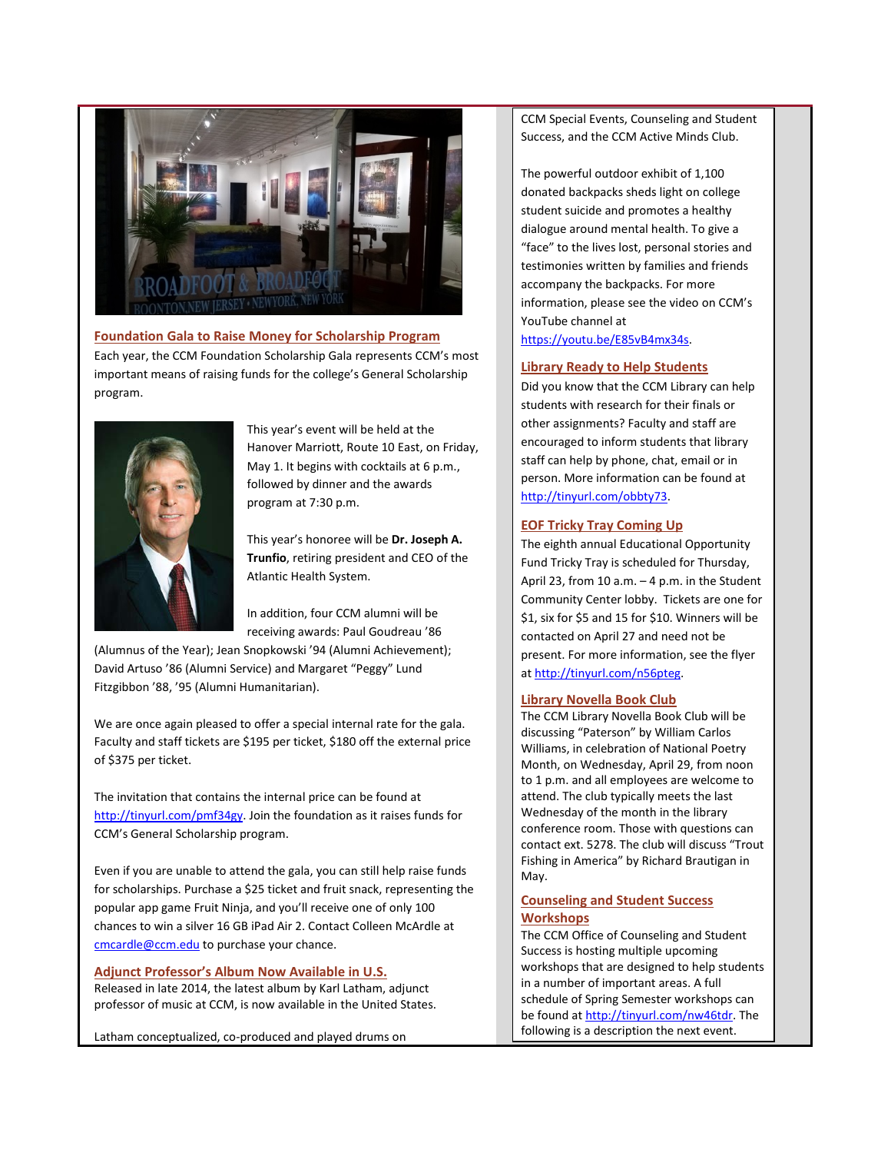

<span id="page-2-0"></span>**Foundation Gala to Raise Money for Scholarship Program** Each year, the CCM Foundation Scholarship Gala represents CCM's most important means of raising funds for the college's General Scholarship program.



This year's event will be held at the Hanover Marriott, Route 10 East, on Friday, May 1. It begins with cocktails at 6 p.m., followed by dinner and the awards program at 7:30 p.m.

This year's honoree will be **Dr. Joseph A. Trunfio**, retiring president and CEO of the Atlantic Health System.

In addition, four CCM alumni will be receiving awards: Paul Goudreau '86

(Alumnus of the Year); Jean Snopkowski '94 (Alumni Achievement); David Artuso '86 (Alumni Service) and Margaret "Peggy" Lund Fitzgibbon '88, '95 (Alumni Humanitarian).

We are once again pleased to offer a special internal rate for the gala. Faculty and staff tickets are \$195 per ticket, \$180 off the external price of \$375 per ticket.

The invitation that contains the internal price can be found at [http://tinyurl.com/pmf34gy.](http://tinyurl.com/pmf34gy) Join the foundation as it raises funds for CCM's General Scholarship program.

Even if you are unable to attend the gala, you can still help raise funds for scholarships. Purchase a \$25 ticket and fruit snack, representing the popular app game Fruit Ninja, and you'll receive one of only 100 chances to win a silver 16 GB iPad Air 2. Contact Colleen McArdle at [cmcardle@ccm.edu](mailto:cmcardle@ccm.edu) to purchase your chance.

# <span id="page-2-1"></span>**Adjunct Professor's Album Now Available in U.S.**

Released in late 2014, the latest album by Karl Latham, adjunct professor of music at CCM, is now available in the United States.

Latham conceptualized, co-produced and played drums on

CCM Special Events, Counseling and Student Success, and the CCM Active Minds Club.

The powerful outdoor exhibit of 1,100 donated backpacks sheds light on college student suicide and promotes a healthy dialogue around mental health. To give a "face" to the lives lost, personal stories and testimonies written by families and friends accompany the backpacks. For more information, please see the video on CCM's YouTube channel at

[https://youtu.be/E85vB4mx34s.](https://youtu.be/E85vB4mx34s)

#### **Library Ready to Help Students**

Did you know that the CCM Library can help students with research for their finals or other assignments? Faculty and staff are encouraged to inform students that library staff can help by phone, chat, email or in person. More information can be found at [http://tinyurl.com/obbty73.](http://tinyurl.com/obbty73)

#### **EOF Tricky Tray Coming Up**

The eighth annual Educational Opportunity Fund Tricky Tray is scheduled for Thursday, April 23, from 10 a.m.  $-4$  p.m. in the Student Community Center lobby. Tickets are one for \$1, six for \$5 and 15 for \$10. Winners will be contacted on April 27 and need not be present. For more information, see the flyer a[t http://tinyurl.com/n56pteg.](http://tinyurl.com/n56pteg)

#### **Library Novella Book Club**

The CCM Library Novella Book Club will be discussing "Paterson" by William Carlos Williams, in celebration of National Poetry Month, on Wednesday, April 29, from noon to 1 p.m. and all employees are welcome to attend. The club typically meets the last Wednesday of the month in the library conference room. Those with questions can contact ext. 5278. The club will discuss "Trout Fishing in America" by Richard Brautigan in May.

# **Counseling and Student Success Workshops**

The CCM Office of Counseling and Student Success is hosting multiple upcoming workshops that are designed to help students in a number of important areas. A full schedule of Spring Semester workshops can be found a[t http://tinyurl.com/nw46tdr.](http://tinyurl.com/nw46tdr) The following is a description the next event.